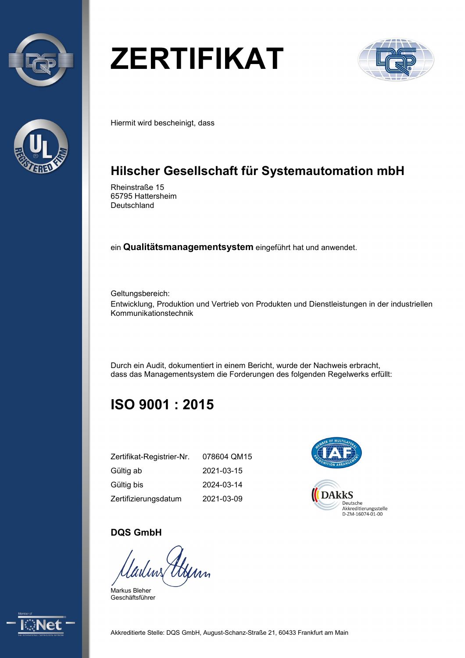



## **ZERTIFIKAT**



Hiermit wird bescheinigt, dass

### **Hilscher Gesellschaft für Systemautomation mbH**

Rheinstraße 15 65795 Hattersheim Deutschland

ein **Qualitätsmanagementsystem** eingeführt hat und anwendet.

Geltungsbereich: Entwicklung, Produktion und Vertrieb von Produkten und Dienstleistungen in der industriellen Kommunikationstechnik

Durch ein Audit, dokumentiert in einem Bericht, wurde der Nachweis erbracht, dass das Managementsystem die Forderungen des folgenden Regelwerks erfüllt:

## **ISO 9001 : 2015**

| Zertifikat-Registrier-Nr. | 078604 QM15 |
|---------------------------|-------------|
| Gültig ab                 | 2021-03-15  |
| Gültig bis                | 2024-03-14  |
| Zertifizierungsdatum      | 2021-03-09  |



#### **DQS GmbH**

Hym ladms

Markus Bleher Geschäftsführer